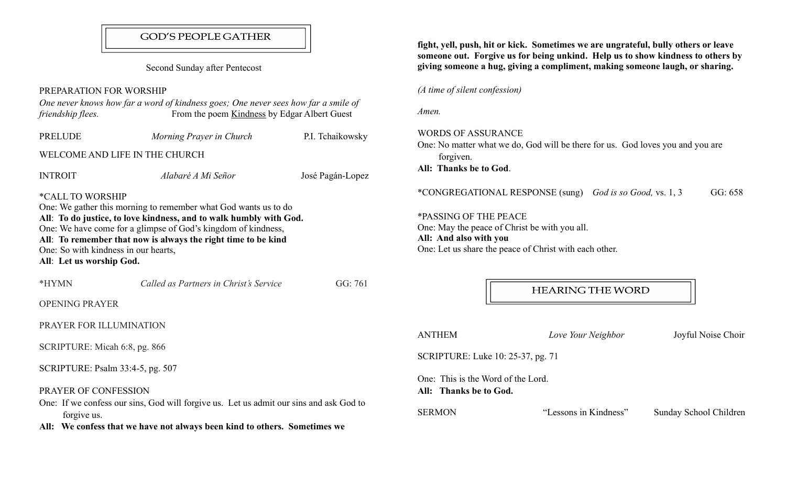## **GOD'S PEOPLE GATHER**

Second Sunday after Pentecost

### PREPARATION FOR WORSHIP

| PREPARAHUN FUR WURSHIP                                                               |                                                                                                                                                                                                                                                                         |                  |
|--------------------------------------------------------------------------------------|-------------------------------------------------------------------------------------------------------------------------------------------------------------------------------------------------------------------------------------------------------------------------|------------------|
| friendship flees.                                                                    | One never knows how far a word of kindness goes; One never sees how far a smile of<br>From the poem Kindness by Edgar Albert Guest                                                                                                                                      |                  |
| PRELUDE                                                                              | Morning Prayer in Church                                                                                                                                                                                                                                                | P.I. Tchaikowsky |
|                                                                                      | WELCOME AND LIFE IN THE CHURCH                                                                                                                                                                                                                                          |                  |
| <b>INTROIT</b>                                                                       | Alabaré A Mi Señor                                                                                                                                                                                                                                                      | José Pagán-Lopez |
| *CALL TO WORSHIP<br>One: So with kindness in our hearts,<br>All: Let us worship God. | One: We gather this morning to remember what God wants us to do<br>All: To do justice, to love kindness, and to walk humbly with God.<br>One: We have come for a glimpse of God's kingdom of kindness,<br>All: To remember that now is always the right time to be kind |                  |
| *HYMN                                                                                | Called as Partners in Christ's Service                                                                                                                                                                                                                                  | GG: 761          |
| <b>OPENING PRAYER</b>                                                                |                                                                                                                                                                                                                                                                         |                  |
| PRAYER FOR ILLUMINATION                                                              |                                                                                                                                                                                                                                                                         |                  |
| SCRIPTURE: Micah 6:8, pg. 866                                                        |                                                                                                                                                                                                                                                                         |                  |
| SCRIPTURE: Psalm 33:4-5, pg. 507                                                     |                                                                                                                                                                                                                                                                         |                  |

#### PRAYER OF CONFESSION

One: If we confess our sins, God will forgive us. Let us admit our sins and ask God to forgive us.

All: We confess that we have not always been kind to others. Sometimes we

fight, yell, push, hit or kick. Sometimes we are ungrateful, bully others or leave someone out. Forgive us for being unkind. Help us to show kindness to others by giving someone a hug, giving a compliment, making someone laugh, or sharing.

(A time of silent confession)

Amen.

### WORDS OF ASSURANCE

One: No matter what we do, God will be there for us. God loves you and you are forgiven.

All: Thanks be to God.

\*CONGREGATIONAL RESPONSE (sung) God is so Good, vs. 1, 3 GG: 658

\*PASSING OF THE PEACE One: May the peace of Christ be with you all. All: And also with you One: Let us share the peace of Christ with each other.

### **HEARING THE WORD**

| <b>ANTHEM</b>                                                | Love Your Neighbor    | Joyful Noise Choir     |  |
|--------------------------------------------------------------|-----------------------|------------------------|--|
| SCRIPTURE: Luke 10: 25-37, pg. 71                            |                       |                        |  |
| One: This is the Word of the Lord.<br>All: Thanks be to God. |                       |                        |  |
| <b>SERMON</b>                                                | "Lessons in Kindness" | Sunday School Children |  |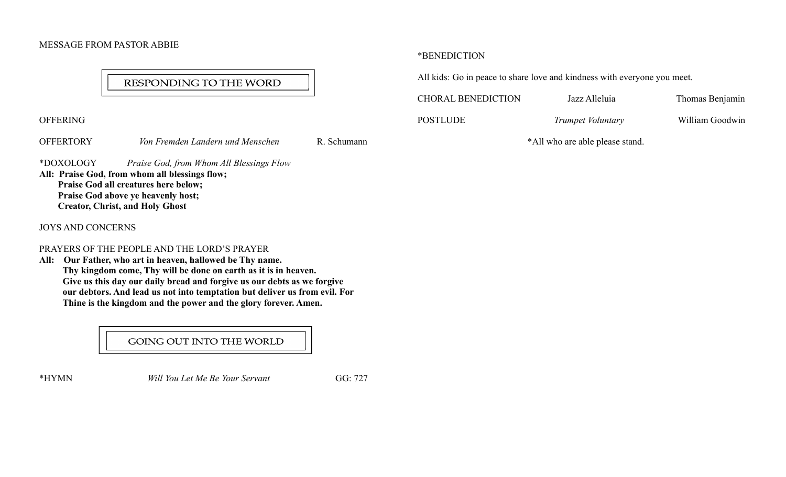### MESSAGE FROM PASTOR ABBIE

# RESPONDING TO THE WORD

**OFFERING** 

OFFERTORY Von Fremden Landern und Menschen R. Schumann

\*DOXOLOGY Praise God, from Whom All Blessings Flow All: Praise God, from whom all blessings flow; Praise God all creatures here below;

 Praise God above ye heavenly host; Creator, Christ, and Holy Ghost

JOYS AND CONCERNS

#### PRAYERS OF THE PEOPLE AND THE LORD'S PRAYER

All: Our Father, who art in heaven, hallowed be Thy name. Thy kingdom come, Thy will be done on earth as it is in heaven. Give us this day our daily bread and forgive us our debts as we forgive our debtors. And lead us not into temptation but deliver us from evil. For Thine is the kingdom and the power and the glory forever. Amen.

GOING OUT INTO THE WORLD

\*HYMN Will You Let Me Be Your Servant GG: 727

\*BENEDICTION

All kids: Go in peace to share love and kindness with everyone you meet.

CHORAL BENEDICTION Jazz Alleluia Thomas Benjamin

POSTLUDE Trumpet Voluntary William Goodwin

\*All who are able please stand.